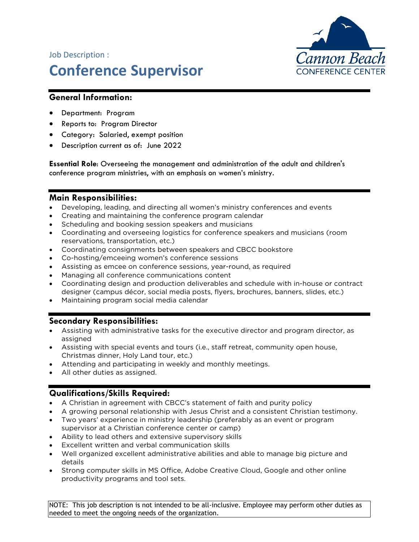#### Job Description :

# **Conference Supervisor**



#### **General Information:**

- Department: Program
- Reports to: Program Director
- Category: Salaried, exempt position
- Description current as of: June 2022

**Essential Role**: Overseeing the management and administration of the adult and children's conference program ministries, with an emphasis on women's ministry.

#### **Main Responsibilities:**

- Developing, leading, and directing all women's ministry conferences and events
- Creating and maintaining the conference program calendar
- Scheduling and booking session speakers and musicians
- Coordinating and overseeing logistics for conference speakers and musicians (room reservations, transportation, etc.)
- Coordinating consignments between speakers and CBCC bookstore
- Co-hosting/emceeing women's conference sessions
- Assisting as emcee on conference sessions, year-round, as required
- Managing all conference communications content
- Coordinating design and production deliverables and schedule with in-house or contract designer (campus décor, social media posts, flyers, brochures, banners, slides, etc.)
- Maintaining program social media calendar

## **Secondary Responsibilities:**

- Assisting with administrative tasks for the executive director and program director, as assigned
- Assisting with special events and tours (i.e., staff retreat, community open house, Christmas dinner, Holy Land tour, etc.)
- Attending and participating in weekly and monthly meetings.
- All other duties as assigned.

## **Qualifications/Skills Required:**

- A Christian in agreement with CBCC's statement of faith and purity policy
- A growing personal relationship with Jesus Christ and a consistent Christian testimony.
- Two years' experience in ministry leadership (preferably as an event or program supervisor at a Christian conference center or camp)
- Ability to lead others and extensive supervisory skills
- Excellent written and verbal communication skills
- Well organized excellent administrative abilities and able to manage big picture and details
- Strong computer skills in MS Office, Adobe Creative Cloud, Google and other online productivity programs and tool sets.

NOTE: This job description is not intended to be all-inclusive. Employee may perform other duties as needed to meet the ongoing needs of the organization.